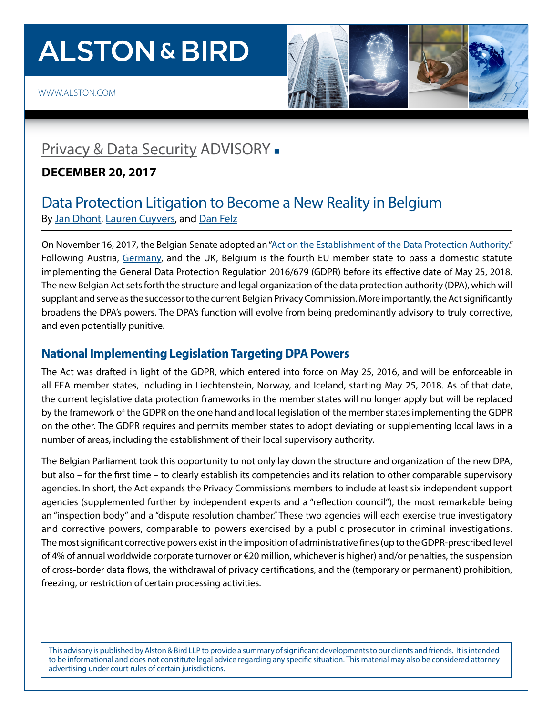# **ALSTON & BIRD**





# [Privacy & Data Security](http://www.alston.com/services/corporate-finance/privacy-data-security/) ADVISORY -

# **DECEMBER 20, 2017**

# Data Protection Litigation to Become a New Reality in Belgium By [Jan Dhont](https://www.alston.com/en/professionals/d/dhont-jan), [Lauren Cuyvers,](https://www.alston.com/en/professionals/c/cuyvers-lauren) and [Dan Felz](https://www.alston.com/en/professionals/f/felz-daniel-j)

On November 16, 2017, the Belgian Senate adopted an ["Act on the Establishment of the Data Protection Authority](http://www.dekamer.be/FLWB/PDF/54/2648/54K2648008.pdf)." Following Austria, [Germany,](http://www.alstonprivacy.com/english-language-primer-germanys-gdpr-implementation-statute-part-5-5/) and the UK, Belgium is the fourth EU member state to pass a domestic statute implementing the General Data Protection Regulation 2016/679 (GDPR) before its effective date of May 25, 2018. The new Belgian Act sets forth the structure and legal organization of the data protection authority (DPA), which will supplant and serve as the successor to the current Belgian Privacy Commission. More importantly, the Act significantly broadens the DPA's powers. The DPA's function will evolve from being predominantly advisory to truly corrective, and even potentially punitive.

# **National Implementing Legislation Targeting DPA Powers**

The Act was drafted in light of the GDPR, which entered into force on May 25, 2016, and will be enforceable in all EEA member states, including in Liechtenstein, Norway, and Iceland, starting May 25, 2018. As of that date, the current legislative data protection frameworks in the member states will no longer apply but will be replaced by the framework of the GDPR on the one hand and local legislation of the member states implementing the GDPR on the other. The GDPR requires and permits member states to adopt deviating or supplementing local laws in a number of areas, including the establishment of their local supervisory authority.

The Belgian Parliament took this opportunity to not only lay down the structure and organization of the new DPA, but also – for the first time – to clearly establish its competencies and its relation to other comparable supervisory agencies. In short, the Act expands the Privacy Commission's members to include at least six independent support agencies (supplemented further by independent experts and a "reflection council"), the most remarkable being an "inspection body" and a "dispute resolution chamber." These two agencies will each exercise true investigatory and corrective powers, comparable to powers exercised by a public prosecutor in criminal investigations. The most significant corrective powers exist in the imposition of administrative fines (up to the GDPR-prescribed level of 4% of annual worldwide corporate turnover or €20 million, whichever is higher) and/or penalties, the suspension of cross-border data flows, the withdrawal of privacy certifications, and the (temporary or permanent) prohibition, freezing, or restriction of certain processing activities.

This advisory is published by Alston & Bird LLP to provide a summary of significant developments to our clients and friends. It is intended to be informational and does not constitute legal advice regarding any specific situation. This material may also be considered attorney advertising under court rules of certain jurisdictions.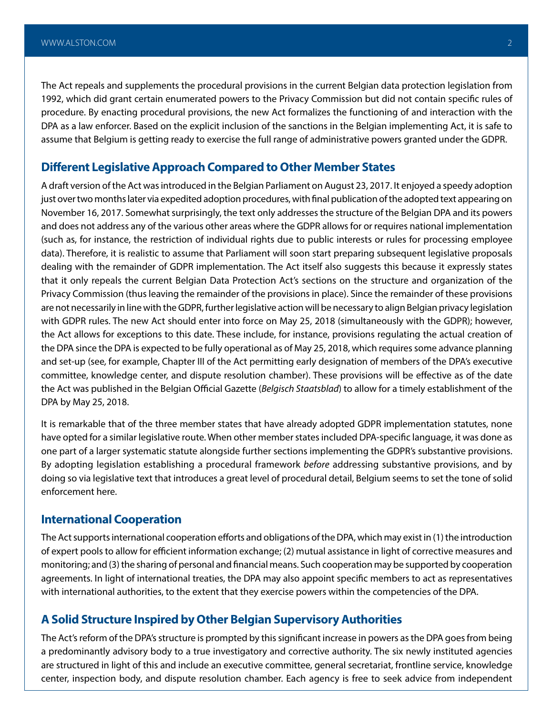The Act repeals and supplements the procedural provisions in the current Belgian data protection legislation from 1992, which did grant certain enumerated powers to the Privacy Commission but did not contain specific rules of procedure. By enacting procedural provisions, the new Act formalizes the functioning of and interaction with the DPA as a law enforcer. Based on the explicit inclusion of the sanctions in the Belgian implementing Act, it is safe to assume that Belgium is getting ready to exercise the full range of administrative powers granted under the GDPR.

## **Different Legislative Approach Compared to Other Member States**

A draft version of the Act was introduced in the Belgian Parliament on August 23, 2017. It enjoyed a speedy adoption just over two months later via expedited adoption procedures, with final publication of the adopted text appearing on November 16, 2017. Somewhat surprisingly, the text only addresses the structure of the Belgian DPA and its powers and does not address any of the various other areas where the GDPR allows for or requires national implementation (such as, for instance, the restriction of individual rights due to public interests or rules for processing employee data). Therefore, it is realistic to assume that Parliament will soon start preparing subsequent legislative proposals dealing with the remainder of GDPR implementation. The Act itself also suggests this because it expressly states that it only repeals the current Belgian Data Protection Act's sections on the structure and organization of the Privacy Commission (thus leaving the remainder of the provisions in place). Since the remainder of these provisions are not necessarily in line with the GDPR, further legislative action will be necessary to align Belgian privacy legislation with GDPR rules. The new Act should enter into force on May 25, 2018 (simultaneously with the GDPR); however, the Act allows for exceptions to this date. These include, for instance, provisions regulating the actual creation of the DPA since the DPA is expected to be fully operational as of May 25, 2018, which requires some advance planning and set-up (see*,* for example, Chapter III of the Act permitting early designation of members of the DPA's executive committee, knowledge center, and dispute resolution chamber). These provisions will be effective as of the date the Act was published in the Belgian Official Gazette (*Belgisch Staatsblad*) to allow for a timely establishment of the DPA by May 25, 2018.

It is remarkable that of the three member states that have already adopted GDPR implementation statutes, none have opted for a similar legislative route. When other member states included DPA-specific language, it was done as one part of a larger systematic statute alongside further sections implementing the GDPR's substantive provisions. By adopting legislation establishing a procedural framework *before* addressing substantive provisions, and by doing so via legislative text that introduces a great level of procedural detail, Belgium seems to set the tone of solid enforcement here.

### **International Cooperation**

The Act supports international cooperation efforts and obligations of the DPA, which may exist in (1) the introduction of expert pools to allow for efficient information exchange; (2) mutual assistance in light of corrective measures and monitoring; and (3) the sharing of personal and financial means. Such cooperation may be supported by cooperation agreements. In light of international treaties, the DPA may also appoint specific members to act as representatives with international authorities, to the extent that they exercise powers within the competencies of the DPA.

## **A Solid Structure Inspired by Other Belgian Supervisory Authorities**

The Act's reform of the DPA's structure is prompted by this significant increase in powers as the DPA goes from being a predominantly advisory body to a true investigatory and corrective authority. The six newly instituted agencies are structured in light of this and include an executive committee, general secretariat, frontline service, knowledge center, inspection body, and dispute resolution chamber. Each agency is free to seek advice from independent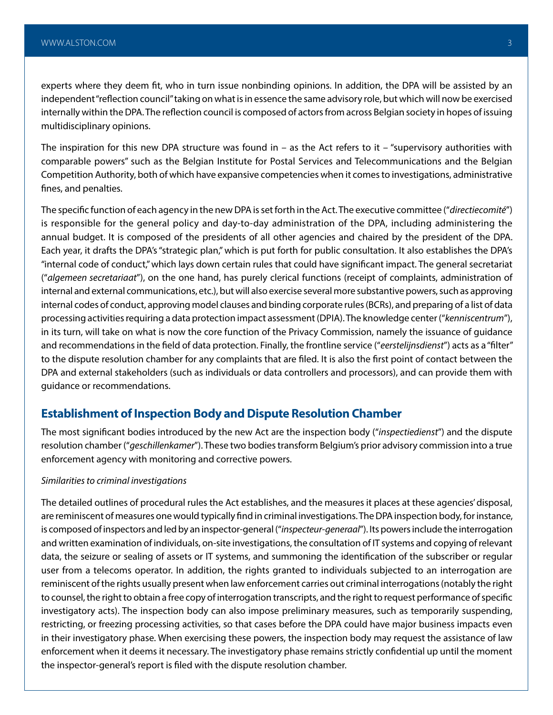experts where they deem fit, who in turn issue nonbinding opinions. In addition, the DPA will be assisted by an independent "reflection council" taking on what is in essence the same advisory role, but which will now be exercised internally within the DPA. The reflection council is composed of actors from across Belgian society in hopes of issuing multidisciplinary opinions.

The inspiration for this new DPA structure was found in  $-$  as the Act refers to it  $-$  "supervisory authorities with comparable powers" such as the Belgian Institute for Postal Services and Telecommunications and the Belgian Competition Authority, both of which have expansive competencies when it comes to investigations, administrative fines, and penalties.

The specific function of each agency in the new DPA is set forth in the Act. The executive committee ("*directiecomité*") is responsible for the general policy and day-to-day administration of the DPA, including administering the annual budget. It is composed of the presidents of all other agencies and chaired by the president of the DPA. Each year, it drafts the DPA's "strategic plan," which is put forth for public consultation. It also establishes the DPA's "internal code of conduct," which lays down certain rules that could have significant impact. The general secretariat ("*algemeen secretariaat*"), on the one hand, has purely clerical functions (receipt of complaints, administration of internal and external communications, etc.), but will also exercise several more substantive powers, such as approving internal codes of conduct, approving model clauses and binding corporate rules (BCRs), and preparing of a list of data processing activities requiring a data protection impact assessment (DPIA). The knowledge center ("*kenniscentrum*"), in its turn, will take on what is now the core function of the Privacy Commission, namely the issuance of guidance and recommendations in the field of data protection. Finally, the frontline service ("*eerstelijnsdienst*") acts as a "filter" to the dispute resolution chamber for any complaints that are filed. It is also the first point of contact between the DPA and external stakeholders (such as individuals or data controllers and processors), and can provide them with guidance or recommendations.

## **Establishment of Inspection Body and Dispute Resolution Chamber**

The most significant bodies introduced by the new Act are the inspection body ("*inspectiedienst*") and the dispute resolution chamber ("*geschillenkamer*"). These two bodies transform Belgium's prior advisory commission into a true enforcement agency with monitoring and corrective powers.

#### *Similarities to criminal investigations*

The detailed outlines of procedural rules the Act establishes, and the measures it places at these agencies' disposal, are reminiscent of measures one would typically find in criminal investigations. The DPA inspection body, for instance, is composed of inspectors and led by an inspector-general ("*inspecteur-generaal*"). Its powers include the interrogation and written examination of individuals, on-site investigations, the consultation of IT systems and copying of relevant data, the seizure or sealing of assets or IT systems, and summoning the identification of the subscriber or regular user from a telecoms operator. In addition, the rights granted to individuals subjected to an interrogation are reminiscent of the rights usually present when law enforcement carries out criminal interrogations (notably the right to counsel, the right to obtain a free copy of interrogation transcripts, and the right to request performance of specific investigatory acts). The inspection body can also impose preliminary measures, such as temporarily suspending, restricting, or freezing processing activities, so that cases before the DPA could have major business impacts even in their investigatory phase. When exercising these powers, the inspection body may request the assistance of law enforcement when it deems it necessary. The investigatory phase remains strictly confidential up until the moment the inspector-general's report is filed with the dispute resolution chamber.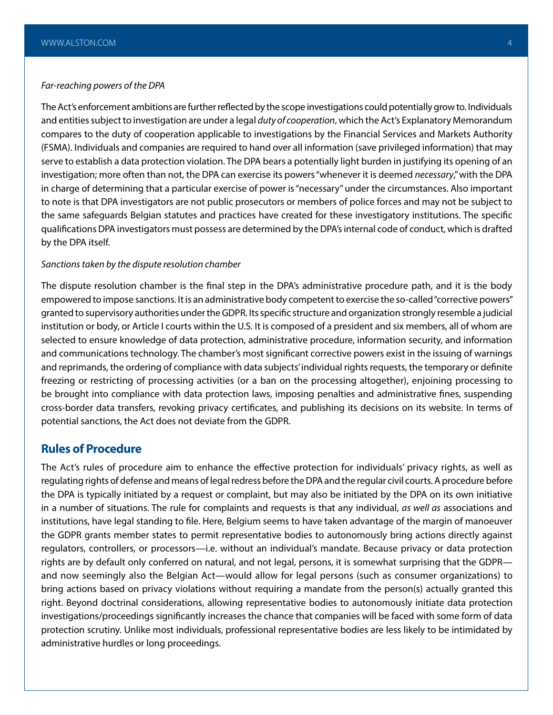#### *Far-reaching powers of the DPA*

The Act's enforcement ambitions are further reflected by the scope investigations could potentially grow to. Individuals and entities subject to investigation are under a legal *duty of cooperation*, which the Act's Explanatory Memorandum compares to the duty of cooperation applicable to investigations by the Financial Services and Markets Authority (FSMA). Individuals and companies are required to hand over all information (save privileged information) that may serve to establish a data protection violation. The DPA bears a potentially light burden in justifying its opening of an investigation; more often than not, the DPA can exercise its powers "whenever it is deemed *necessary*," with the DPA in charge of determining that a particular exercise of power is "necessary" under the circumstances. Also important to note is that DPA investigators are not public prosecutors or members of police forces and may not be subject to the same safeguards Belgian statutes and practices have created for these investigatory institutions. The specific qualifications DPA investigators must possess are determined by the DPA's internal code of conduct, which is drafted by the DPA itself.

#### *Sanctions taken by the dispute resolution chamber*

The dispute resolution chamber is the final step in the DPA's administrative procedure path, and it is the body empowered to impose sanctions. It is an administrative body competent to exercise the so-called "corrective powers" granted to supervisory authorities under the GDPR. Its specific structure and organization strongly resemble a judicial institution or body, or Article I courts within the U.S. It is composed of a president and six members, all of whom are selected to ensure knowledge of data protection, administrative procedure, information security, and information and communications technology. The chamber's most significant corrective powers exist in the issuing of warnings and reprimands, the ordering of compliance with data subjects' individual rights requests, the temporary or definite freezing or restricting of processing activities (or a ban on the processing altogether), enjoining processing to be brought into compliance with data protection laws, imposing penalties and administrative fines, suspending cross-border data transfers, revoking privacy certificates, and publishing its decisions on its website. In terms of potential sanctions, the Act does not deviate from the GDPR.

## **Rules of Procedure**

The Act's rules of procedure aim to enhance the effective protection for individuals' privacy rights, as well as regulating rights of defense and means of legal redress before the DPA and the regular civil courts. A procedure before the DPA is typically initiated by a request or complaint, but may also be initiated by the DPA on its own initiative in a number of situations. The rule for complaints and requests is that any individual, *as well as* associations and institutions, have legal standing to file. Here, Belgium seems to have taken advantage of the margin of manoeuver the GDPR grants member states to permit representative bodies to autonomously bring actions directly against regulators, controllers, or processors—i.e. without an individual's mandate. Because privacy or data protection rights are by default only conferred on natural, and not legal, persons, it is somewhat surprising that the GDPR and now seemingly also the Belgian Act—would allow for legal persons (such as consumer organizations) to bring actions based on privacy violations without requiring a mandate from the person(s) actually granted this right. Beyond doctrinal considerations, allowing representative bodies to autonomously initiate data protection investigations/proceedings significantly increases the chance that companies will be faced with some form of data protection scrutiny. Unlike most individuals, professional representative bodies are less likely to be intimidated by administrative hurdles or long proceedings.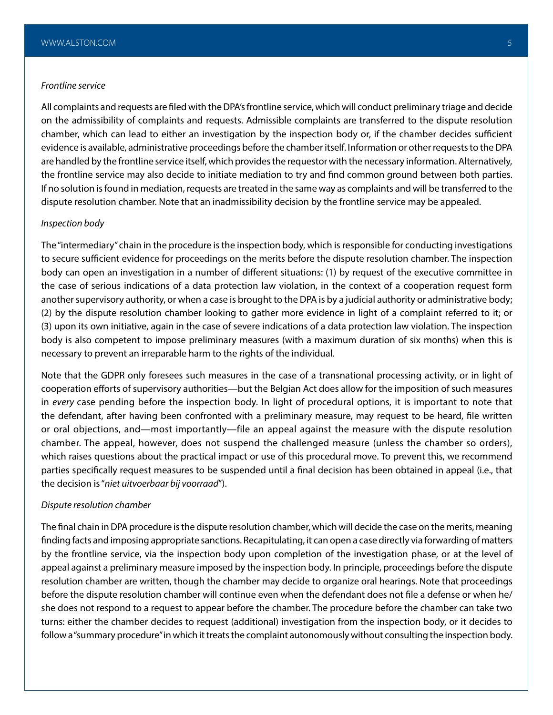#### *Frontline service*

All complaints and requests are filed with the DPA's frontline service, which will conduct preliminary triage and decide on the admissibility of complaints and requests. Admissible complaints are transferred to the dispute resolution chamber, which can lead to either an investigation by the inspection body or, if the chamber decides sufficient evidence is available, administrative proceedings before the chamber itself. Information or other requests to the DPA are handled by the frontline service itself, which provides the requestor with the necessary information. Alternatively, the frontline service may also decide to initiate mediation to try and find common ground between both parties. If no solution is found in mediation, requests are treated in the same way as complaints and will be transferred to the dispute resolution chamber. Note that an inadmissibility decision by the frontline service may be appealed.

#### *Inspection body*

The "intermediary" chain in the procedure is the inspection body, which is responsible for conducting investigations to secure sufficient evidence for proceedings on the merits before the dispute resolution chamber. The inspection body can open an investigation in a number of different situations: (1) by request of the executive committee in the case of serious indications of a data protection law violation, in the context of a cooperation request form another supervisory authority, or when a case is brought to the DPA is by a judicial authority or administrative body; (2) by the dispute resolution chamber looking to gather more evidence in light of a complaint referred to it; or (3) upon its own initiative, again in the case of severe indications of a data protection law violation. The inspection body is also competent to impose preliminary measures (with a maximum duration of six months) when this is necessary to prevent an irreparable harm to the rights of the individual.

Note that the GDPR only foresees such measures in the case of a transnational processing activity, or in light of cooperation efforts of supervisory authorities—but the Belgian Act does allow for the imposition of such measures in *every* case pending before the inspection body. In light of procedural options, it is important to note that the defendant, after having been confronted with a preliminary measure, may request to be heard, file written or oral objections, and—most importantly—file an appeal against the measure with the dispute resolution chamber. The appeal, however, does not suspend the challenged measure (unless the chamber so orders), which raises questions about the practical impact or use of this procedural move. To prevent this, we recommend parties specifically request measures to be suspended until a final decision has been obtained in appeal (i.e., that the decision is "*niet uitvoerbaar bij voorraad*").

#### *Dispute resolution chamber*

The final chain in DPA procedure is the dispute resolution chamber, which will decide the case on the merits, meaning finding facts and imposing appropriate sanctions. Recapitulating, it can open a case directly via forwarding of matters by the frontline service, via the inspection body upon completion of the investigation phase, or at the level of appeal against a preliminary measure imposed by the inspection body. In principle, proceedings before the dispute resolution chamber are written, though the chamber may decide to organize oral hearings. Note that proceedings before the dispute resolution chamber will continue even when the defendant does not file a defense or when he/ she does not respond to a request to appear before the chamber. The procedure before the chamber can take two turns: either the chamber decides to request (additional) investigation from the inspection body, or it decides to follow a "summary procedure" in which it treats the complaint autonomously without consulting the inspection body.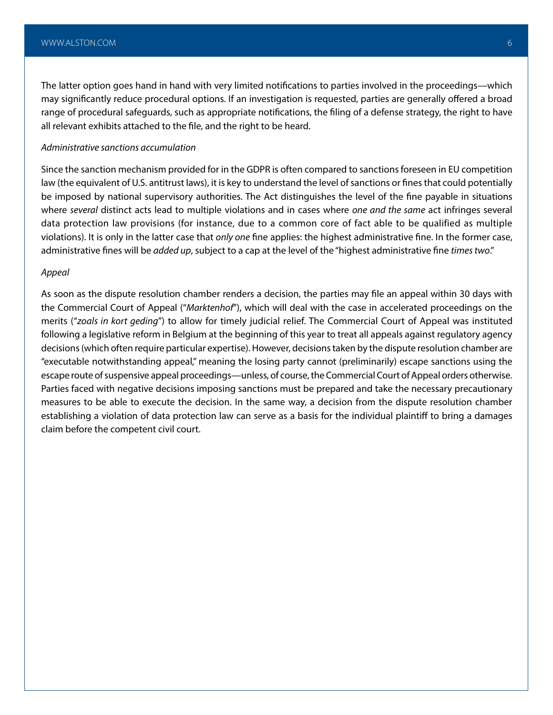The latter option goes hand in hand with very limited notifications to parties involved in the proceedings—which may significantly reduce procedural options. If an investigation is requested, parties are generally offered a broad range of procedural safeguards, such as appropriate notifications, the filing of a defense strategy, the right to have all relevant exhibits attached to the file, and the right to be heard.

#### *Administrative sanctions accumulation*

Since the sanction mechanism provided for in the GDPR is often compared to sanctions foreseen in EU competition law (the equivalent of U.S. antitrust laws), it is key to understand the level of sanctions or fines that could potentially be imposed by national supervisory authorities. The Act distinguishes the level of the fine payable in situations where *several* distinct acts lead to multiple violations and in cases where *one and the same* act infringes several data protection law provisions (for instance, due to a common core of fact able to be qualified as multiple violations). It is only in the latter case that *only one* fine applies: the highest administrative fine. In the former case, administrative fines will be *added up*, subject to a cap at the level of the "highest administrative fine *times two*."

#### *Appeal*

As soon as the dispute resolution chamber renders a decision, the parties may file an appeal within 30 days with the Commercial Court of Appeal ("*Marktenhof*"), which will deal with the case in accelerated proceedings on the merits ("*zoals in kort geding*") to allow for timely judicial relief. The Commercial Court of Appeal was instituted following a legislative reform in Belgium at the beginning of this year to treat all appeals against regulatory agency decisions (which often require particular expertise). However, decisions taken by the dispute resolution chamber are "executable notwithstanding appeal," meaning the losing party cannot (preliminarily) escape sanctions using the escape route of suspensive appeal proceedings—unless, of course, the Commercial Court of Appeal orders otherwise. Parties faced with negative decisions imposing sanctions must be prepared and take the necessary precautionary measures to be able to execute the decision. In the same way, a decision from the dispute resolution chamber establishing a violation of data protection law can serve as a basis for the individual plaintiff to bring a damages claim before the competent civil court.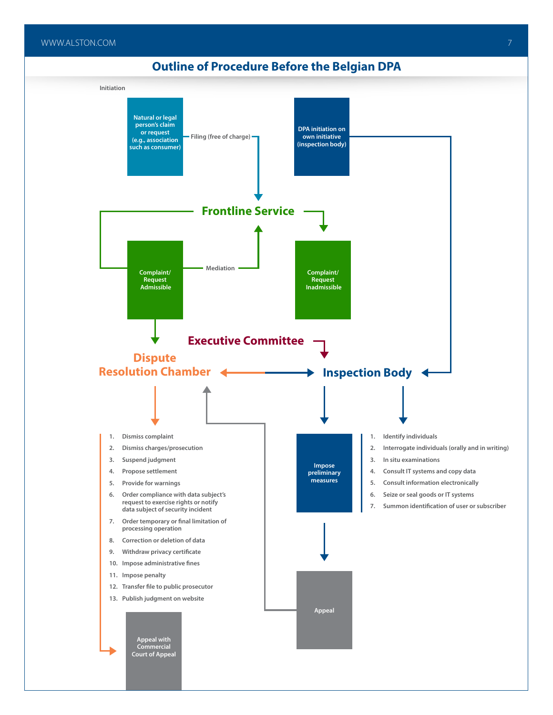# **Outline of Procedure Before the Belgian DPA**